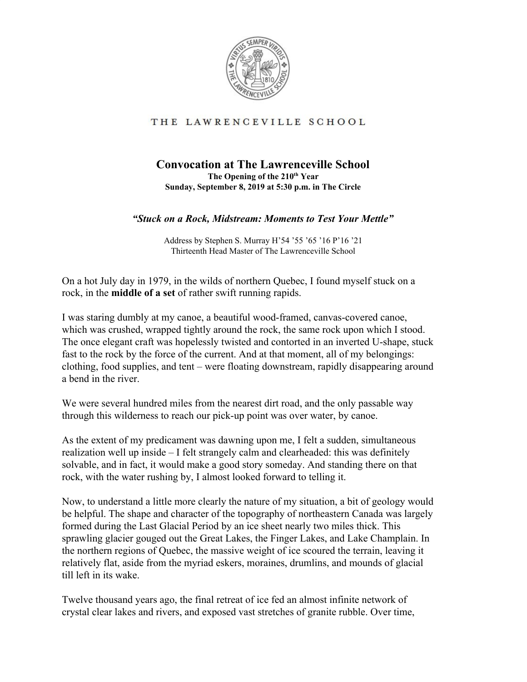

## THE LAWRENCEVILLE SCHOOL

## **Convocation at The Lawrenceville School The Opening of the 210 th Year Sunday, September 8, 2019 at 5:30 p.m. in The Circle**

## *"Stuck on a Rock, Midstream: Moments to Test Your Mettle"*

Address by Stephen S. Murray H'54 '55 '65 '16 P'16 '21 Thirteenth Head Master of The Lawrenceville School

On a hot July day in 1979, in the wilds of northern Quebec, I found myself stuck on a rock, in the **middle of a set** of rather swift running rapids.

I was staring dumbly at my canoe, a beautiful wood-framed, canvas-covered canoe, which was crushed, wrapped tightly around the rock, the same rock upon which I stood. The once elegant craft was hopelessly twisted and contorted in an inverted U-shape, stuck fast to the rock by the force of the current. And at that moment, all of my belongings: clothing, food supplies, and tent – were floating downstream, rapidly disappearing around a bend in the river.

We were several hundred miles from the nearest dirt road, and the only passable way through this wilderness to reach our pick-up point was over water, by canoe.

As the extent of my predicament was dawning upon me, I felt a sudden, simultaneous realization well up inside – I felt strangely calm and clearheaded: this was definitely solvable, and in fact, it would make a good story someday. And standing there on that rock, with the water rushing by, I almost looked forward to telling it.

Now, to understand a little more clearly the nature of my situation, a bit of geology would be helpful. The shape and character of the topography of northeastern Canada was largely formed during the Last Glacial Period by an ice sheet nearly two miles thick. This sprawling glacier gouged out the Great Lakes, the Finger Lakes, and Lake Champlain. In the northern regions of Quebec, the massive weight of ice scoured the terrain, leaving it relatively flat, aside from the myriad eskers, moraines, drumlins, and mounds of glacial till left in its wake.

Twelve thousand years ago, the final retreat of ice fed an almost infinite network of crystal clear lakes and rivers, and exposed vast stretches of granite rubble. Over time,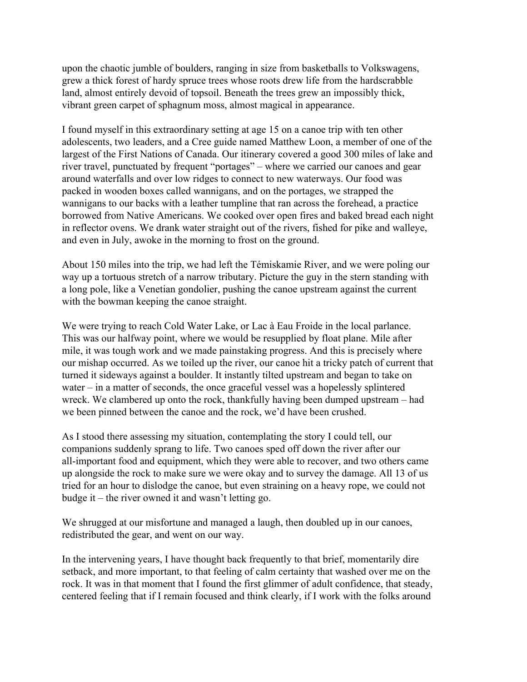upon the chaotic jumble of boulders, ranging in size from basketballs to Volkswagens, grew a thick forest of hardy spruce trees whose roots drew life from the hardscrabble land, almost entirely devoid of topsoil. Beneath the trees grew an impossibly thick, vibrant green carpet of sphagnum moss, almost magical in appearance.

I found myself in this extraordinary setting at age 15 on a canoe trip with ten other adolescents, two leaders, and a Cree guide named Matthew Loon, a member of one of the largest of the First Nations of Canada. Our itinerary covered a good 300 miles of lake and river travel, punctuated by frequent "portages" – where we carried our canoes and gear around waterfalls and over low ridges to connect to new waterways. Our food was packed in wooden boxes called wannigans, and on the portages, we strapped the wannigans to our backs with a leather tumpline that ran across the forehead, a practice borrowed from Native Americans. We cooked over open fires and baked bread each night in reflector ovens. We drank water straight out of the rivers, fished for pike and walleye, and even in July, awoke in the morning to frost on the ground.

About 150 miles into the trip, we had left the Témiskamie River, and we were poling our way up a tortuous stretch of a narrow tributary. Picture the guy in the stern standing with a long pole, like a Venetian gondolier, pushing the canoe upstream against the current with the bowman keeping the canoe straight.

We were trying to reach Cold Water Lake, or Lac à Eau Froide in the local parlance. This was our halfway point, where we would be resupplied by float plane. Mile after mile, it was tough work and we made painstaking progress. And this is precisely where our mishap occurred. As we toiled up the river, our canoe hit a tricky patch of current that turned it sideways against a boulder. It instantly tilted upstream and began to take on water – in a matter of seconds, the once graceful vessel was a hopelessly splintered wreck. We clambered up onto the rock, thankfully having been dumped upstream – had we been pinned between the canoe and the rock, we'd have been crushed.

As I stood there assessing my situation, contemplating the story I could tell, our companions suddenly sprang to life. Two canoes sped off down the river after our all-important food and equipment, which they were able to recover, and two others came up alongside the rock to make sure we were okay and to survey the damage. All 13 of us tried for an hour to dislodge the canoe, but even straining on a heavy rope, we could not budge it – the river owned it and wasn't letting go.

We shrugged at our misfortune and managed a laugh, then doubled up in our canoes, redistributed the gear, and went on our way.

In the intervening years, I have thought back frequently to that brief, momentarily dire setback, and more important, to that feeling of calm certainty that washed over me on the rock. It was in that moment that I found the first glimmer of adult confidence, that steady, centered feeling that if I remain focused and think clearly, if I work with the folks around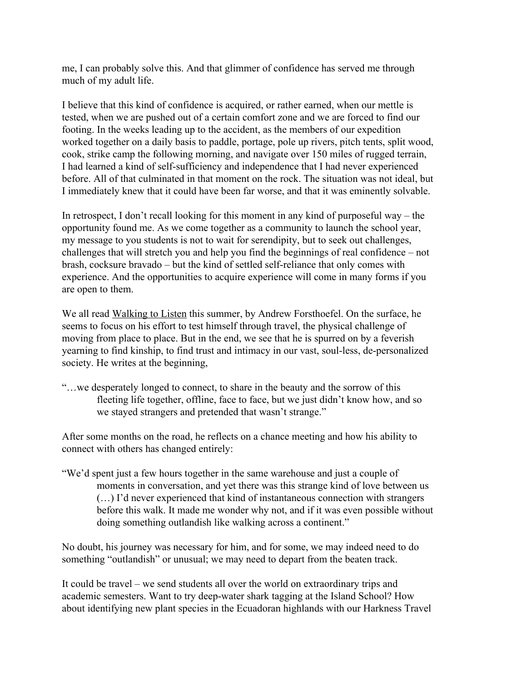me, I can probably solve this. And that glimmer of confidence has served me through much of my adult life.

I believe that this kind of confidence is acquired, or rather earned, when our mettle is tested, when we are pushed out of a certain comfort zone and we are forced to find our footing. In the weeks leading up to the accident, as the members of our expedition worked together on a daily basis to paddle, portage, pole up rivers, pitch tents, split wood, cook, strike camp the following morning, and navigate over 150 miles of rugged terrain, I had learned a kind of self-sufficiency and independence that I had never experienced before. All of that culminated in that moment on the rock. The situation was not ideal, but I immediately knew that it could have been far worse, and that it was eminently solvable.

In retrospect, I don't recall looking for this moment in any kind of purposeful way – the opportunity found me. As we come together as a community to launch the school year, my message to you students is not to wait for serendipity, but to seek out challenges, challenges that will stretch you and help you find the beginnings of real confidence – not brash, cocksure bravado – but the kind of settled self-reliance that only comes with experience. And the opportunities to acquire experience will come in many forms if you are open to them.

We all read Walking to Listen this summer, by Andrew Forsthoefel. On the surface, he seems to focus on his effort to test himself through travel, the physical challenge of moving from place to place. But in the end, we see that he is spurred on by a feverish yearning to find kinship, to find trust and intimacy in our vast, soul-less, de-personalized society. He writes at the beginning,

"…we desperately longed to connect, to share in the beauty and the sorrow of this fleeting life together, offline, face to face, but we just didn't know how, and so we stayed strangers and pretended that wasn't strange."

After some months on the road, he reflects on a chance meeting and how his ability to connect with others has changed entirely:

"We'd spent just a few hours together in the same warehouse and just a couple of moments in conversation, and yet there was this strange kind of love between us (…) I'd never experienced that kind of instantaneous connection with strangers before this walk. It made me wonder why not, and if it was even possible without doing something outlandish like walking across a continent."

No doubt, his journey was necessary for him, and for some, we may indeed need to do something "outlandish" or unusual; we may need to depart from the beaten track.

It could be travel – we send students all over the world on extraordinary trips and academic semesters. Want to try deep-water shark tagging at the Island School? How about identifying new plant species in the Ecuadoran highlands with our Harkness Travel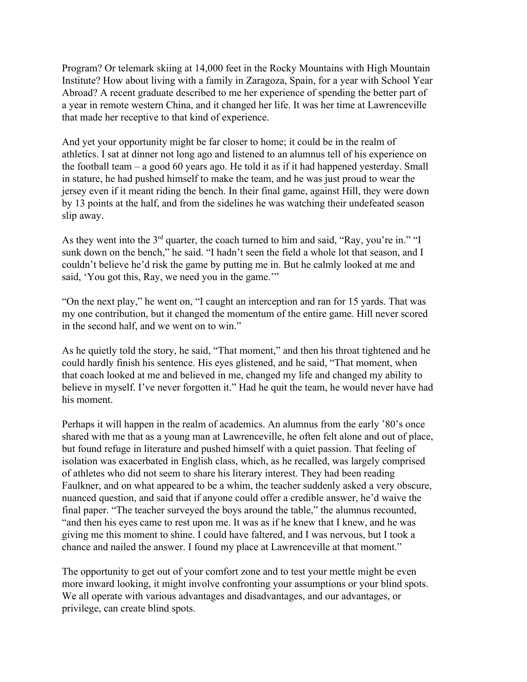Program? Or telemark skiing at 14,000 feet in the Rocky Mountains with High Mountain Institute? How about living with a family in Zaragoza, Spain, for a year with School Year Abroad? A recent graduate described to me her experience of spending the better part of a year in remote western China, and it changed her life. It was her time at Lawrenceville that made her receptive to that kind of experience.

And yet your opportunity might be far closer to home; it could be in the realm of athletics. I sat at dinner not long ago and listened to an alumnus tell of his experience on the football team – a good 60 years ago. He told it as if it had happened yesterday. Small in stature, he had pushed himself to make the team, and he was just proud to wear the jersey even if it meant riding the bench. In their final game, against Hill, they were down by 13 points at the half, and from the sidelines he was watching their undefeated season slip away.

As they went into the  $3<sup>rd</sup>$  quarter, the coach turned to him and said, "Ray, you're in." "I sunk down on the bench," he said. "I hadn't seen the field a whole lot that season, and I couldn't believe he'd risk the game by putting me in. But he calmly looked at me and said, 'You got this, Ray, we need you in the game.'"

"On the next play," he went on, "I caught an interception and ran for 15 yards. That was my one contribution, but it changed the momentum of the entire game. Hill never scored in the second half, and we went on to win."

As he quietly told the story, he said, "That moment," and then his throat tightened and he could hardly finish his sentence. His eyes glistened, and he said, "That moment, when that coach looked at me and believed in me, changed my life and changed my ability to believe in myself. I've never forgotten it." Had he quit the team, he would never have had his moment.

Perhaps it will happen in the realm of academics. An alumnus from the early '80's once shared with me that as a young man at Lawrenceville, he often felt alone and out of place, but found refuge in literature and pushed himself with a quiet passion. That feeling of isolation was exacerbated in English class, which, as he recalled, was largely comprised of athletes who did not seem to share his literary interest. They had been reading Faulkner, and on what appeared to be a whim, the teacher suddenly asked a very obscure, nuanced question, and said that if anyone could offer a credible answer, he'd waive the final paper. "The teacher surveyed the boys around the table," the alumnus recounted, "and then his eyes came to rest upon me. It was as if he knew that I knew, and he was giving me this moment to shine. I could have faltered, and I was nervous, but I took a chance and nailed the answer. I found my place at Lawrenceville at that moment."

The opportunity to get out of your comfort zone and to test your mettle might be even more inward looking, it might involve confronting your assumptions or your blind spots. We all operate with various advantages and disadvantages, and our advantages, or privilege, can create blind spots.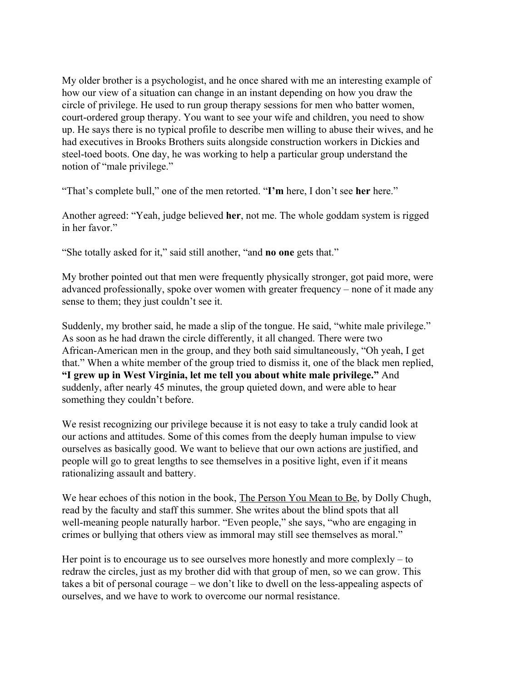My older brother is a psychologist, and he once shared with me an interesting example of how our view of a situation can change in an instant depending on how you draw the circle of privilege. He used to run group therapy sessions for men who batter women, court-ordered group therapy. You want to see your wife and children, you need to show up. He says there is no typical profile to describe men willing to abuse their wives, and he had executives in Brooks Brothers suits alongside construction workers in Dickies and steel-toed boots. One day, he was working to help a particular group understand the notion of "male privilege."

"That's complete bull," one of the men retorted. "**I'm** here, I don't see **her** here."

Another agreed: "Yeah, judge believed **her**, not me. The whole goddam system is rigged in her favor."

"She totally asked for it," said still another, "and **no one** gets that."

My brother pointed out that men were frequently physically stronger, got paid more, were advanced professionally, spoke over women with greater frequency – none of it made any sense to them; they just couldn't see it.

Suddenly, my brother said, he made a slip of the tongue. He said, "white male privilege." As soon as he had drawn the circle differently, it all changed. There were two African-American men in the group, and they both said simultaneously, "Oh yeah, I get that." When a white member of the group tried to dismiss it, one of the black men replied, **"I grew up in West Virginia, let me tell you about white male privilege."** And suddenly, after nearly 45 minutes, the group quieted down, and were able to hear something they couldn't before.

We resist recognizing our privilege because it is not easy to take a truly candid look at our actions and attitudes. Some of this comes from the deeply human impulse to view ourselves as basically good. We want to believe that our own actions are justified, and people will go to great lengths to see themselves in a positive light, even if it means rationalizing assault and battery.

We hear echoes of this notion in the book, The Person You Mean to Be, by Dolly Chugh, read by the faculty and staff this summer. She writes about the blind spots that all well-meaning people naturally harbor. "Even people," she says, "who are engaging in crimes or bullying that others view as immoral may still see themselves as moral."

Her point is to encourage us to see ourselves more honestly and more complexly – to redraw the circles, just as my brother did with that group of men, so we can grow. This takes a bit of personal courage – we don't like to dwell on the less-appealing aspects of ourselves, and we have to work to overcome our normal resistance.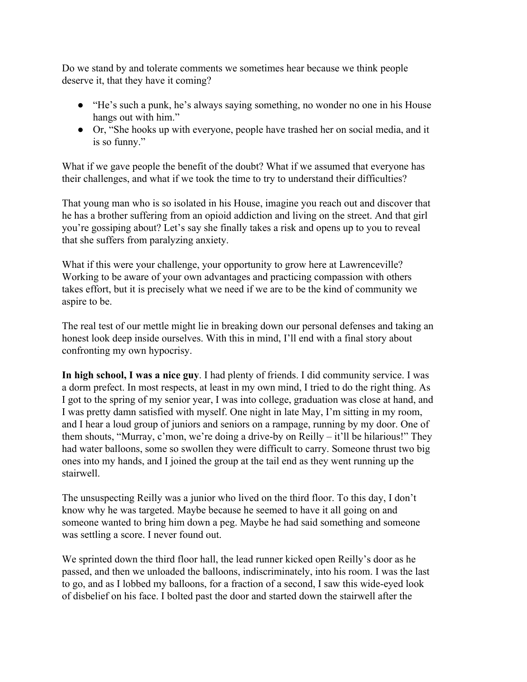Do we stand by and tolerate comments we sometimes hear because we think people deserve it, that they have it coming?

- "He's such a punk, he's always saying something, no wonder no one in his House hangs out with him."
- Or, "She hooks up with everyone, people have trashed her on social media, and it is so funny."

What if we gave people the benefit of the doubt? What if we assumed that everyone has their challenges, and what if we took the time to try to understand their difficulties?

That young man who is so isolated in his House, imagine you reach out and discover that he has a brother suffering from an opioid addiction and living on the street. And that girl you're gossiping about? Let's say she finally takes a risk and opens up to you to reveal that she suffers from paralyzing anxiety.

What if this were your challenge, your opportunity to grow here at Lawrenceville? Working to be aware of your own advantages and practicing compassion with others takes effort, but it is precisely what we need if we are to be the kind of community we aspire to be.

The real test of our mettle might lie in breaking down our personal defenses and taking an honest look deep inside ourselves. With this in mind, I'll end with a final story about confronting my own hypocrisy.

**In high school, I was a nice guy**. I had plenty of friends. I did community service. I was a dorm prefect. In most respects, at least in my own mind, I tried to do the right thing. As I got to the spring of my senior year, I was into college, graduation was close at hand, and I was pretty damn satisfied with myself. One night in late May, I'm sitting in my room, and I hear a loud group of juniors and seniors on a rampage, running by my door. One of them shouts, "Murray, c'mon, we're doing a drive-by on Reilly – it'll be hilarious!" They had water balloons, some so swollen they were difficult to carry. Someone thrust two big ones into my hands, and I joined the group at the tail end as they went running up the stairwell.

The unsuspecting Reilly was a junior who lived on the third floor. To this day, I don't know why he was targeted. Maybe because he seemed to have it all going on and someone wanted to bring him down a peg. Maybe he had said something and someone was settling a score. I never found out.

We sprinted down the third floor hall, the lead runner kicked open Reilly's door as he passed, and then we unloaded the balloons, indiscriminately, into his room. I was the last to go, and as I lobbed my balloons, for a fraction of a second, I saw this wide-eyed look of disbelief on his face. I bolted past the door and started down the stairwell after the